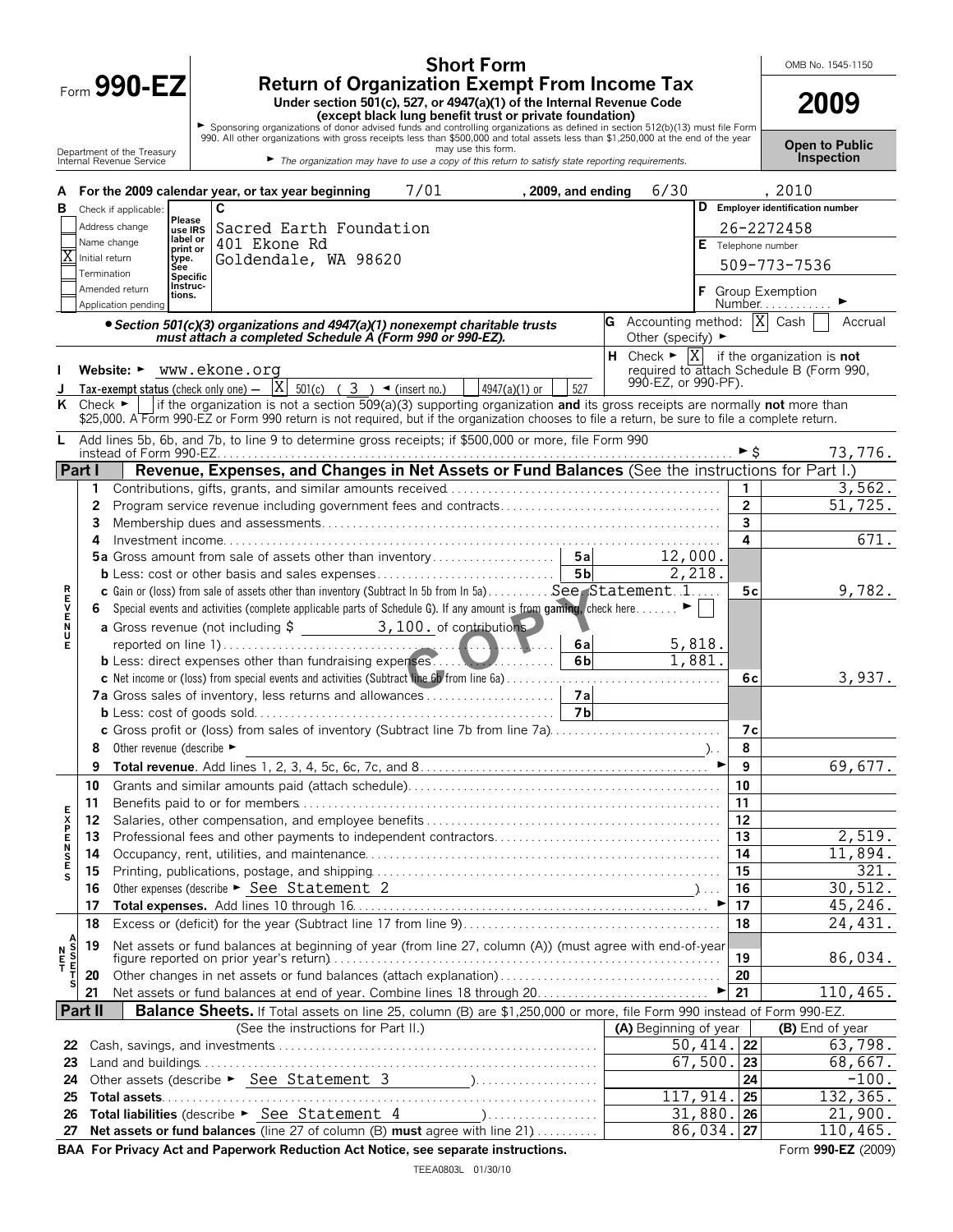Form **990-EZ**

Department of the Treasury Internal Revenue Service

## **Short Form Return of Organization Exempt From Income Tax**

Under section 501(c), 527, or 4947(a)(1) of the Internal Revenue Code<br>
Except black lung benefit trust or private foundation)<br>
990. All other organizations of donor advised funds and controlling organizations as defined i

**Open to Public Inspection**

| А                                    |                             | 7/01<br>6/30<br>For the 2009 calendar year, or tax year beginning<br>, 2009, and ending                                                                                                                                       |                 | , 2010                            |
|--------------------------------------|-----------------------------|-------------------------------------------------------------------------------------------------------------------------------------------------------------------------------------------------------------------------------|-----------------|-----------------------------------|
| в                                    |                             | C<br>Check if applicable:<br>Please                                                                                                                                                                                           |                 | D Employer identification number  |
|                                      |                             | Address change<br>Sacred Earth Foundation<br>use IRS<br>label or                                                                                                                                                              |                 | 26-2272458                        |
|                                      | Initial return              | Name change<br>401 Ekone Rd<br>E Telephone number<br>print or<br>Goldendale, WA 98620<br>type.                                                                                                                                |                 |                                   |
|                                      | Termination                 | Sée                                                                                                                                                                                                                           |                 | 509-773-7536                      |
|                                      |                             | Specific<br>Instruc-<br>Amended return<br>tions.<br>Application pending                                                                                                                                                       |                 | <b>Group Exemption</b><br>Number  |
|                                      |                             | G Accounting method: $\overline{X}$ Cash<br>• Section 501(c)(3) organizations and 4947(a)(1) nonexempt charitable trusts<br>must attach a completed Schedule A (Form 990 or 990-EZ).<br>Other (specify) $\blacktriangleright$ |                 | Accrual                           |
|                                      |                             | <b>H</b> Check $\blacktriangleright$ $\begin{bmatrix} X \\ \end{bmatrix}$ if the organization is <b>not</b><br>Website: $\blacktriangleright$ www.ekone.org<br>required to attach Schedule B (Form 990,                       |                 |                                   |
|                                      |                             | 990-EZ, or 990-PF).<br>$\frac{1}{1}$ Tax-exempt status (check only one) $-$  X <br>527<br>$501(c)$ ( 3 ) $\blacktriangleleft$ (insert no.)<br>4947(a)(1) or                                                                   |                 |                                   |
| ĸ                                    | Check $\blacktriangleright$ | if the organization is not a section 509(a)(3) supporting organization and its gross receipts are normally not more than                                                                                                      |                 |                                   |
|                                      |                             | \$25,000. A Form 990-EZ or Form 990 return is not required, but if the organization chooses to file a return, be sure to file a complete return.                                                                              |                 |                                   |
| L.                                   |                             | Add lines 5b, 6b, and 7b, to line 9 to determine gross receipts; if \$500,000 or more, file Form 990                                                                                                                          |                 | 73,776.                           |
| Part I                               |                             | Revenue, Expenses, and Changes in Net Assets or Fund Balances (See the instructions for Part I.)                                                                                                                              |                 |                                   |
|                                      | 1                           |                                                                                                                                                                                                                               | 1               | 3,562.                            |
|                                      | $\mathbf{2}$                |                                                                                                                                                                                                                               | $\overline{2}$  | 51,725.                           |
|                                      | 3                           |                                                                                                                                                                                                                               | 3               |                                   |
|                                      | 4                           | 12,000.                                                                                                                                                                                                                       | 4               | 671.                              |
|                                      |                             | 2,218.<br>5 b                                                                                                                                                                                                                 |                 |                                   |
|                                      |                             | c Gain or (loss) from sale of assets other than inventory (Subtract In 5b from In 5a) See Statement1                                                                                                                          | 5с              | 9,782.                            |
| トロンドンド                               | 6                           | Special events and activities (complete applicable parts of Schedule G). If any amount is from gaming, check here                                                                                                             |                 |                                   |
|                                      |                             |                                                                                                                                                                                                                               |                 |                                   |
|                                      |                             | 5,818.<br>6al                                                                                                                                                                                                                 |                 |                                   |
|                                      |                             | 1,881.<br>6 <sub>b</sub>                                                                                                                                                                                                      |                 |                                   |
|                                      |                             |                                                                                                                                                                                                                               | 6c              | 3,937.                            |
|                                      |                             | 7a Gross sales of inventory, less returns and allowances<br>7a                                                                                                                                                                |                 |                                   |
|                                      |                             | <b>7b</b>                                                                                                                                                                                                                     |                 |                                   |
|                                      |                             | c Gross profit or (loss) from sales of inventory (Subtract line 7b from line 7a)                                                                                                                                              | 7с<br>8         |                                   |
|                                      | 8<br>9                      | Other revenue (describe ►                                                                                                                                                                                                     | 9               | 69,677.                           |
|                                      | 10                          |                                                                                                                                                                                                                               | 10              |                                   |
|                                      | 11                          |                                                                                                                                                                                                                               | 11              |                                   |
|                                      | 12                          |                                                                                                                                                                                                                               | 12              |                                   |
|                                      | 13                          |                                                                                                                                                                                                                               | 13              | 2,519.                            |
| <b>EXPENSE</b>                       | 14                          |                                                                                                                                                                                                                               | 14              | 11,894.                           |
| s                                    | 15                          |                                                                                                                                                                                                                               | $\overline{15}$ | 321.                              |
|                                      | 16                          | Other expenses (describe $\blacktriangleright$ See Statement 2<br>$\overline{\phantom{a}}$ )                                                                                                                                  | 16              | 30, 512.                          |
|                                      | 17                          |                                                                                                                                                                                                                               | 17              | 45,246.                           |
|                                      | 18                          |                                                                                                                                                                                                                               | 18              | 24,431.                           |
| A<br>S<br>S<br>E<br>T<br>N<br>F<br>T | 19                          | Net assets or fund balances at beginning of year (from line 27, column (A)) (must agree with end-of-year                                                                                                                      | 19              | 86,034.                           |
|                                      | 20                          | Other changes in net assets or fund balances (attach explanation)                                                                                                                                                             | 20              |                                   |
| s                                    | 21                          |                                                                                                                                                                                                                               | 21              | 110, 465.                         |
|                                      | <b>Part II</b>              | Balance Sheets. If Total assets on line 25, column (B) are \$1,250,000 or more, file Form 990 instead of Form 990-EZ.                                                                                                         |                 |                                   |
|                                      |                             | (See the instructions for Part II.)<br>(A) Beginning of year                                                                                                                                                                  |                 | (B) End of year                   |
| 22                                   |                             | 50, 414.                                                                                                                                                                                                                      | 22              | 63,798.                           |
| 23                                   |                             | 67,500.                                                                                                                                                                                                                       | 23              | 68,667.                           |
| 24                                   |                             | 117,914.                                                                                                                                                                                                                      | 24              | $-100.$<br>$13\overline{2,365}$ . |
| 25<br>26                             |                             | Total liabilities (describe ► See Statement 4<br>$\sum_{i=1}^{n}$ , $\sum_{i=1}^{n}$ , $\sum_{i=1}^{n}$ , $\sum_{i=1}^{n}$ , $\sum_{i=1}^{n}$ , $\sum_{i=1}^{n}$ , $\sum_{i=1}^{n}$<br>31,880.                                | 25<br>26        | 21,900.                           |
| 27                                   |                             | 86,034.<br>Net assets or fund balances (line 27 of column (B) must agree with line 21)                                                                                                                                        | 27              | 110,465.                          |
|                                      |                             | BAA For Privacy Act and Paperwork Reduction Act Notice, see separate instructions.                                                                                                                                            |                 | Form 990-EZ (2009)                |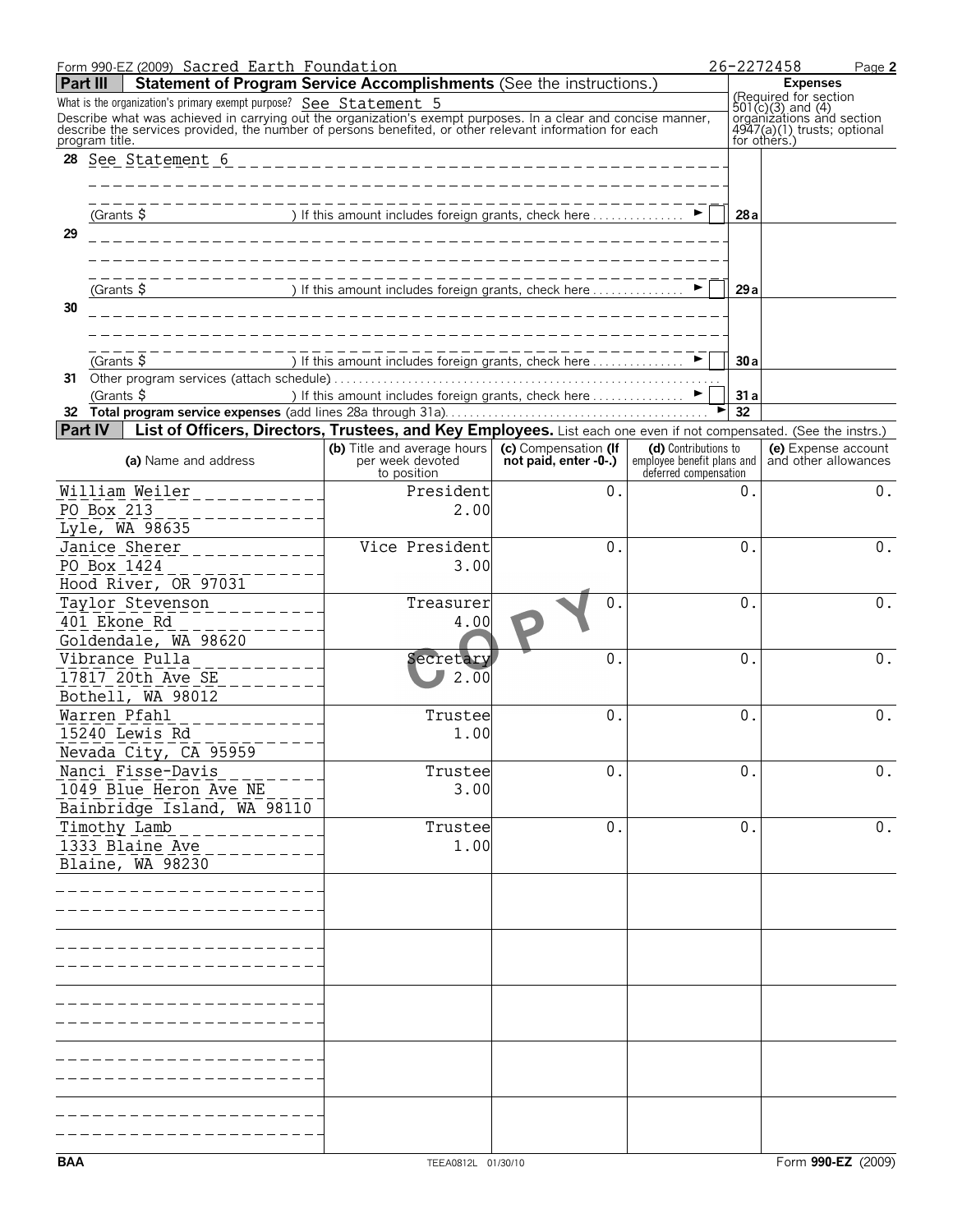|            | Form 990-EZ (2009) Sacred Earth Foundation                                                                                                                                                                                                                                                                    |                                                                                                              |                       |                                                                             |            | 26-2272458<br>Page 2                                                                                                   |
|------------|---------------------------------------------------------------------------------------------------------------------------------------------------------------------------------------------------------------------------------------------------------------------------------------------------------------|--------------------------------------------------------------------------------------------------------------|-----------------------|-----------------------------------------------------------------------------|------------|------------------------------------------------------------------------------------------------------------------------|
| Part III   | Statement of Program Service Accomplishments (See the instructions.)                                                                                                                                                                                                                                          |                                                                                                              |                       |                                                                             |            | <b>Expenses</b>                                                                                                        |
|            | What is the organization's primary exempt purpose? See Statement 5<br>Describe what was achieved in carrying out the organization's exempt purposes. In a clear and concise manner, describe the services provided, the number of persons benefited, or other relevant information for each<br>program title. |                                                                                                              |                       |                                                                             |            | (Required for section<br>501(c)(3) and (4)<br>organizations and section<br>4947(a)(1) trusts; optional<br>for others.) |
| 28         |                                                                                                                                                                                                                                                                                                               |                                                                                                              |                       |                                                                             |            |                                                                                                                        |
| 29         | (Grants $\frac{1}{2}$                                                                                                                                                                                                                                                                                         | ) If this amount includes foreign grants, check here $\ldots$                                                |                       |                                                                             | 28a        |                                                                                                                        |
|            |                                                                                                                                                                                                                                                                                                               | _________________________________                                                                            |                       |                                                                             |            |                                                                                                                        |
| 30         | (Grants $\frac{1}{2}$                                                                                                                                                                                                                                                                                         | ) If this amount includes foreign grants, check here $\dots\dots\dots\dots\dots$                             |                       |                                                                             | 29a        |                                                                                                                        |
|            |                                                                                                                                                                                                                                                                                                               |                                                                                                              |                       |                                                                             |            |                                                                                                                        |
|            | (Grants \$<br>31 Other program services (attach schedule)<br>(Grants $\frac{5}{7}$                                                                                                                                                                                                                            | ) If this amount includes foreign grants, check here<br>) If this amount includes foreign grants, check here |                       |                                                                             | 30a        |                                                                                                                        |
|            |                                                                                                                                                                                                                                                                                                               |                                                                                                              |                       |                                                                             | 31 a<br>32 |                                                                                                                        |
|            | Part IV<br>List of Officers, Directors, Trustees, and Key Employees. List each one even if not compensated. (See the instrs.)                                                                                                                                                                                 |                                                                                                              |                       |                                                                             |            |                                                                                                                        |
|            | (a) Name and address                                                                                                                                                                                                                                                                                          | (b) Title and average hours   (c) Compensation (If<br>per week devoted                                       | not paid, enter -0-.) | (d) Contributions to<br>employee benefit plans and<br>deferred compensation |            | (e) Expense account<br>and other allowances                                                                            |
|            | William Weiler___________<br>PO Box 213                                                                                                                                                                                                                                                                       | to position<br>President<br>2.00                                                                             | $0$ .                 |                                                                             | 0.         | $0$ .                                                                                                                  |
|            | ---------<br>Lyle, WA 98635                                                                                                                                                                                                                                                                                   |                                                                                                              |                       |                                                                             |            |                                                                                                                        |
|            | Janice Sherer<br>$- - - - - - - - -$<br>PO Box 1424                                                                                                                                                                                                                                                           | Vice President<br>3.00                                                                                       | $\theta$ .            |                                                                             | 0.         | 0.                                                                                                                     |
|            | Hood River, OR 97031<br>Taylor Stevenson                                                                                                                                                                                                                                                                      | Treasurer                                                                                                    | $\mathbf 0$ .         |                                                                             | $0$ .      | 0.                                                                                                                     |
|            | 401 Ekone Rd<br>Goldendale, WA 98620<br>Vibrance Pulla                                                                                                                                                                                                                                                        | 4.00                                                                                                         | $\Omega$ .            |                                                                             | $0$ .      | $\mathbf 0$ .                                                                                                          |
|            | 17817 20th Ave SE<br>Bothell, WA 98012                                                                                                                                                                                                                                                                        | Secretary<br>2.00                                                                                            |                       |                                                                             |            |                                                                                                                        |
|            | Warren Pfahl<br>15240 Lewis Rd                                                                                                                                                                                                                                                                                | Trustee<br>1.00                                                                                              | $\theta$ .            |                                                                             | 0.         | $0$ .                                                                                                                  |
|            | Nevada City, CA 95959<br>Nanci Fisse-Davis                                                                                                                                                                                                                                                                    | Trustee                                                                                                      | $\overline{0}$ .      |                                                                             | 0.         | 0.                                                                                                                     |
|            | 1049 Blue Heron Ave NE<br>Bainbridge Island, WA 98110                                                                                                                                                                                                                                                         | 3.00                                                                                                         |                       |                                                                             |            |                                                                                                                        |
|            | Timothy Lamb<br>1333 Blaine Ave                                                                                                                                                                                                                                                                               | Trustee<br>1.00                                                                                              | $\overline{0}$ .      |                                                                             | $0$ .      | $0$ .                                                                                                                  |
|            | Blaine, WA 98230                                                                                                                                                                                                                                                                                              |                                                                                                              |                       |                                                                             |            |                                                                                                                        |
|            |                                                                                                                                                                                                                                                                                                               |                                                                                                              |                       |                                                                             |            |                                                                                                                        |
|            |                                                                                                                                                                                                                                                                                                               |                                                                                                              |                       |                                                                             |            |                                                                                                                        |
|            |                                                                                                                                                                                                                                                                                                               |                                                                                                              |                       |                                                                             |            |                                                                                                                        |
|            |                                                                                                                                                                                                                                                                                                               |                                                                                                              |                       |                                                                             |            |                                                                                                                        |
|            |                                                                                                                                                                                                                                                                                                               |                                                                                                              |                       |                                                                             |            |                                                                                                                        |
|            |                                                                                                                                                                                                                                                                                                               |                                                                                                              |                       |                                                                             |            |                                                                                                                        |
|            |                                                                                                                                                                                                                                                                                                               |                                                                                                              |                       |                                                                             |            |                                                                                                                        |
| <b>BAA</b> |                                                                                                                                                                                                                                                                                                               | TEEA0812L 01/30/10                                                                                           |                       |                                                                             |            | Form 990-EZ (2009)                                                                                                     |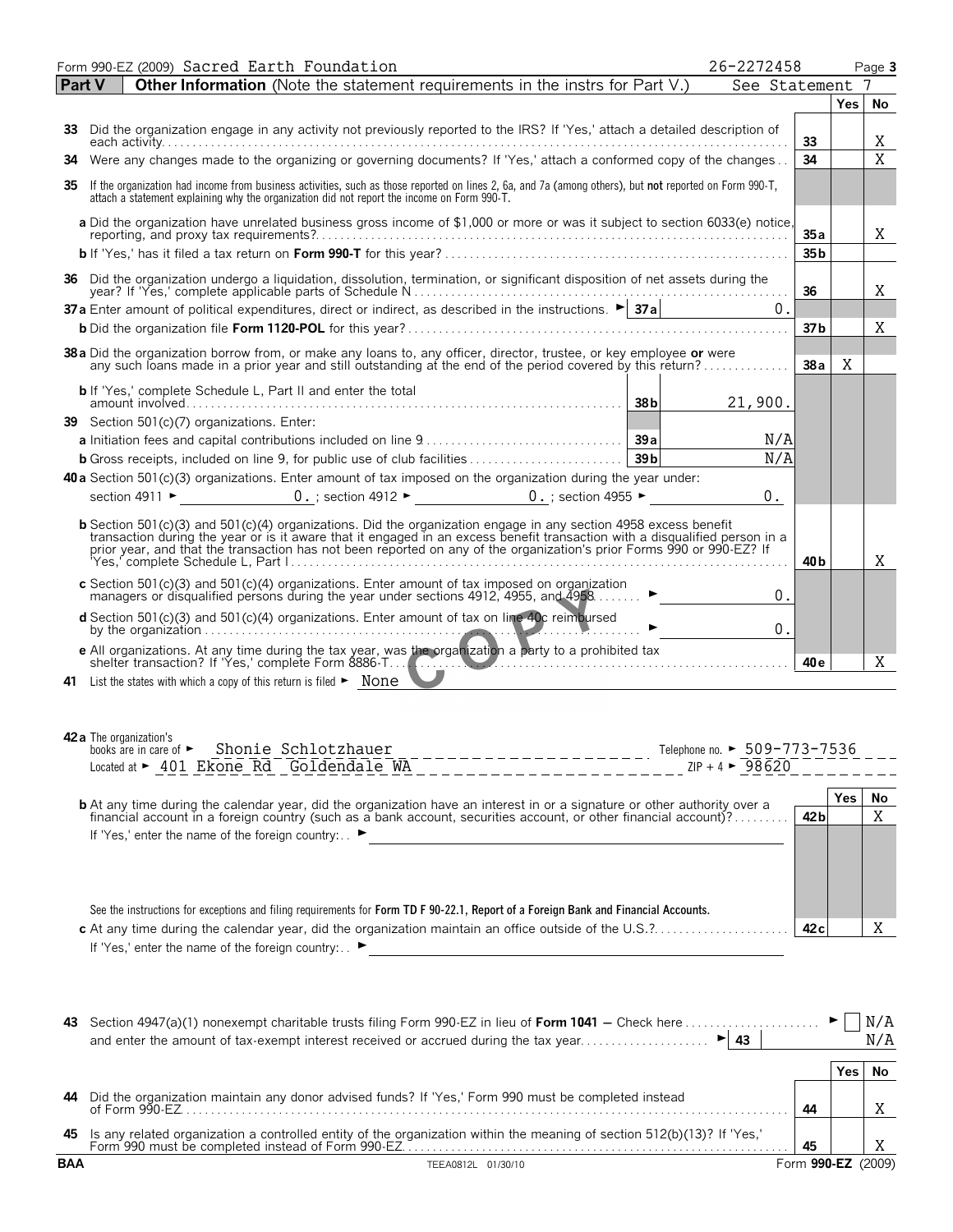|        | Form 990-EZ (2009) Sacred Earth Foundation<br>26-2272458                                                                                                                                                                                                                                                                                             |                        |            | Page 3 |
|--------|------------------------------------------------------------------------------------------------------------------------------------------------------------------------------------------------------------------------------------------------------------------------------------------------------------------------------------------------------|------------------------|------------|--------|
| Part V | <b>Other Information</b> (Note the statement requirements in the instrs for Part V.)<br>See Statement                                                                                                                                                                                                                                                |                        |            | 7      |
|        |                                                                                                                                                                                                                                                                                                                                                      |                        | Yes        | No     |
|        | 33 Did the organization engage in any activity not previously reported to the IRS? If 'Yes,' attach a detailed description of                                                                                                                                                                                                                        | 33                     |            | Χ      |
|        | 34 Were any changes made to the organizing or governing documents? If 'Yes,' attach a conformed copy of the changes                                                                                                                                                                                                                                  | 34                     |            | X      |
| 35     | If the organization had income from business activities, such as those reported on lines 2, 6a, and 7a (among others), but not reported on Form 990-T,<br>attach a statement explaining why the organization did not report the income on Form 990-T.                                                                                                |                        |            |        |
|        | a Did the organization have unrelated business gross income of \$1,000 or more or was it subject to section 6033(e) notice,                                                                                                                                                                                                                          |                        |            |        |
|        |                                                                                                                                                                                                                                                                                                                                                      | 35a<br>35 <sub>b</sub> |            | X      |
|        | 36 Did the organization undergo a liquidation, dissolution, termination, or significant disposition of net assets during the                                                                                                                                                                                                                         |                        |            |        |
|        | 37 a Enter amount of political expenditures, direct or indirect, as described in the instructions. $\triangleright$ 37 a Enter amount of political expenditures, direct or indirect, as described in the instructions. $\triangleright$ 37 a $\cdot$                                                                                                 | 36                     |            | Χ      |
|        | 0.                                                                                                                                                                                                                                                                                                                                                   |                        |            |        |
|        |                                                                                                                                                                                                                                                                                                                                                      | 37 <sub>b</sub>        |            | Χ      |
|        | 38 a Did the organization borrow from, or make any loans to, any officer, director, trustee, or key employee or were<br>any such loans made in a prior year and still outstanding at the end of the period covered by this return                                                                                                                    | 38a                    | X          |        |
|        | <b>b</b> If 'Yes,' complete Schedule L, Part II and enter the total<br>38 <sub>b</sub><br>21,900.                                                                                                                                                                                                                                                    |                        |            |        |
|        | 39 Section 501(c)(7) organizations. Enter:                                                                                                                                                                                                                                                                                                           |                        |            |        |
|        | N/A                                                                                                                                                                                                                                                                                                                                                  |                        |            |        |
|        | N/A                                                                                                                                                                                                                                                                                                                                                  |                        |            |        |
|        | 40 a Section 501(c)(3) organizations. Enter amount of tax imposed on the organization during the year under:                                                                                                                                                                                                                                         |                        |            |        |
|        | section 4911 $\triangleright$ 0. ; section 4912 $\triangleright$ 0. ; section 4955 $\triangleright$<br>0.                                                                                                                                                                                                                                            |                        |            |        |
|        | b Section 501(c)(3) and 501(c)(4) organizations. Did the organization engage in any section 4958 excess benefit<br>transaction during the year or is it aware that it engaged in an excess benefit transaction with a disqualified person in a<br>prior year, and that the transaction has not been reported on any of the organization's prior Form | 40 b                   |            | Χ      |
|        | c Section 501(c)(3) and 501(c)(4) organizations. Enter amount of tax imposed on organization<br>managers or disqualified persons during the year under sections 4912, 4955, and 4958<br>0.                                                                                                                                                           |                        |            |        |
|        | d Section 501(c)(3) and 501(c)(4) organizations. Enter amount of tax on line 40c reimbursed<br>by the organization $\ldots$ . $\ldots$ . $\ldots$<br>$\mathbf 0$ .                                                                                                                                                                                   |                        |            |        |
|        | e All organizations. At any time during the tax year, was the organization a party to a prohibited tax<br>shelter transaction? If 'Yes,' complete Form 8886-T                                                                                                                                                                                        | 40 e                   |            | X.     |
|        | 41 List the states with which a copy of this return is filed > None                                                                                                                                                                                                                                                                                  |                        |            |        |
|        |                                                                                                                                                                                                                                                                                                                                                      |                        |            |        |
|        | <b>42 a</b> The organization's                                                                                                                                                                                                                                                                                                                       |                        |            |        |
|        | books are in care of > Shonie Schlotzhauer<br>-------------------- Telephone no. ► 509-773-7536                                                                                                                                                                                                                                                      |                        |            |        |
|        | $ZIP + 4$ $\triangleright$ 98620<br>Located at ► 401 Ekone Rd Goldendale WA<br>______________________                                                                                                                                                                                                                                                |                        |            |        |
|        | <b>b</b> At any time during the calendar year, did the organization have an interest in or a signature or other authority over a financial account in a foreign country (such as a bank account, securities account, or other finan                                                                                                                  |                        | <b>Yes</b> | No     |
|        |                                                                                                                                                                                                                                                                                                                                                      | 42 <sub>b</sub>        |            | Χ      |
|        | If 'Yes,' enter the name of the foreign country: . ►                                                                                                                                                                                                                                                                                                 |                        |            |        |
|        |                                                                                                                                                                                                                                                                                                                                                      |                        |            |        |
|        |                                                                                                                                                                                                                                                                                                                                                      |                        |            |        |
|        | See the instructions for exceptions and filing requirements for Form TD F 90-22.1, Report of a Foreign Bank and Financial Accounts.                                                                                                                                                                                                                  |                        |            |        |
|        |                                                                                                                                                                                                                                                                                                                                                      | 42c                    |            | X      |
|        | If 'Yes,' enter the name of the foreign country: ►<br><u> 1980 - John Stein, Amerikaansk politiker (</u>                                                                                                                                                                                                                                             |                        |            |        |
|        |                                                                                                                                                                                                                                                                                                                                                      |                        |            |        |
|        |                                                                                                                                                                                                                                                                                                                                                      |                        |            |        |
|        | 43 Section 4947(a)(1) nonexempt charitable trusts filing Form 990-EZ in lieu of Form 1041 – Check here                                                                                                                                                                                                                                               |                        |            | N/A    |
|        |                                                                                                                                                                                                                                                                                                                                                      |                        |            | N/A    |
|        |                                                                                                                                                                                                                                                                                                                                                      |                        | <b>Yes</b> | No     |
|        | 44 Did the organization maintain any donor advised funds? If 'Yes,' Form 990 must be completed instead                                                                                                                                                                                                                                               |                        |            |        |
|        |                                                                                                                                                                                                                                                                                                                                                      | 44                     |            | Χ      |

**BAA** TEEA0812L 01/30/10 Form **990-EZ** (2009) **45** Is any related organization a controlled entity of the organization within the meaning of section 512(b)(13)? If 'Yes,' Form 990 must be completed instead of Form 990-EZ. . . . . . . . . . . . . . . . . . . . . . . . . . . . . . . . . . . . . . . . . . . . . . . . . . . . . . . . . . . . . . . **45**

X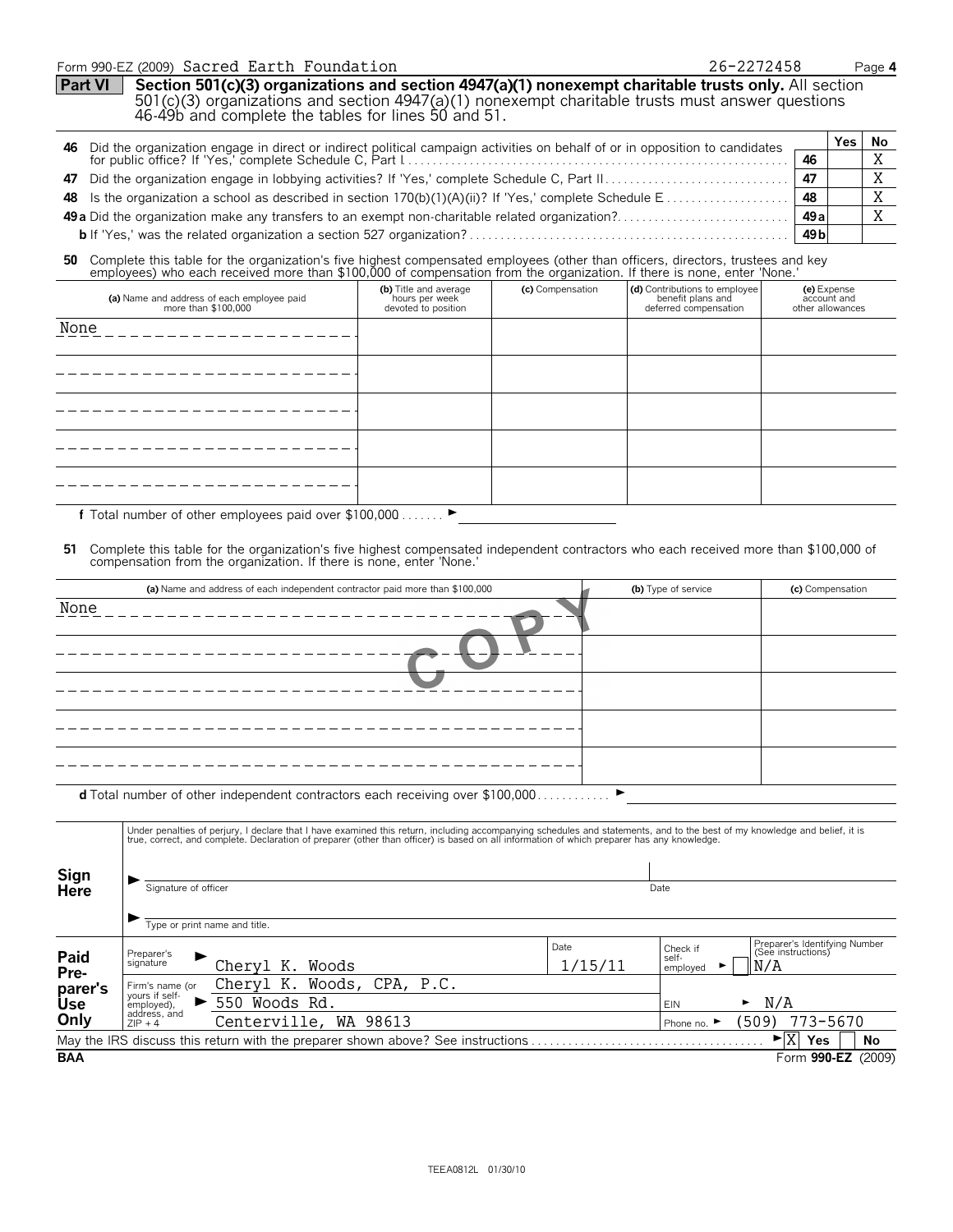#### Form 990-EZ (2009) Page **4** Sacred Earth Foundation 26-2272458

**Part VI** Section 501(c)(3) organizations and section 4947(a)(1) nonexempt charitable trusts only. All section 501(c)(3) organizations and section 4947(a)(1) nonexempt charitable trusts must answer questions 46-49b and complete the tables for lines 50 and 51.

|  |                 | Yes i | No |
|--|-----------------|-------|----|
|  | 46              |       |    |
|  | 47              |       |    |
|  | 48              |       |    |
|  | 49 al           |       |    |
|  | 49 <sub>b</sub> |       |    |

# 50 Complete this table for the organization's five highest compensated employees (other than officers, directors, trustees and key employees) who each received more than \$100,000 of compensation from the organization. If t

| (a) Name and address of each employee paid<br>more than \$100,000 | (b) Title and average<br>hours per week<br>devoted to position                    | (c) Compensation | (d) Contributions to employee<br>benefit plans and<br>deferred compensation | (e) Expense<br>account and<br>other allowances |
|-------------------------------------------------------------------|-----------------------------------------------------------------------------------|------------------|-----------------------------------------------------------------------------|------------------------------------------------|
| None                                                              |                                                                                   |                  |                                                                             |                                                |
|                                                                   |                                                                                   |                  |                                                                             |                                                |
|                                                                   |                                                                                   |                  |                                                                             |                                                |
|                                                                   |                                                                                   |                  |                                                                             |                                                |
|                                                                   |                                                                                   |                  |                                                                             |                                                |
|                                                                   | $\begin{array}{c} \n \bullet & \bullet & \bullet & \bullet & \bullet \end{array}$ |                  |                                                                             |                                                |

f Total number of other employees paid over \$100,000 . . . . . . .  $\blacktriangleright$ 

# **51** Complete this table for the organization's five highest compensated independent contractors who each received more than \$100,000 of compensation from the organization. If there is none, enter 'None.'

|      | (a) Name and address of each independent contractor paid more than \$100,000                                                                                                                                                   | (b) Type of service | (c) Compensation |  |  |  |  |
|------|--------------------------------------------------------------------------------------------------------------------------------------------------------------------------------------------------------------------------------|---------------------|------------------|--|--|--|--|
| None |                                                                                                                                                                                                                                |                     |                  |  |  |  |  |
|      |                                                                                                                                                                                                                                |                     |                  |  |  |  |  |
|      |                                                                                                                                                                                                                                |                     |                  |  |  |  |  |
|      |                                                                                                                                                                                                                                |                     |                  |  |  |  |  |
|      |                                                                                                                                                                                                                                |                     |                  |  |  |  |  |
|      | <b>d</b> Total number of other independent contractors each receiving over $$100,000$                                                                                                                                          |                     |                  |  |  |  |  |
|      | Under penalties of perjury, I declare that I have examined this return, including accompanying schedules and statements, and to the best of my knowledge and belief, it is true, correct, and complete. Declaration of prepare |                     |                  |  |  |  |  |

| Sign                  |                                                 |                                                                                 |                 |                                    |                                                            |  |  |
|-----------------------|-------------------------------------------------|---------------------------------------------------------------------------------|-----------------|------------------------------------|------------------------------------------------------------|--|--|
| <b>Here</b>           |                                                 | Signature of officer                                                            |                 |                                    | Date                                                       |  |  |
|                       |                                                 | Type or print name and title.                                                   |                 |                                    |                                                            |  |  |
| Paid<br>Pre-          | Preparer's<br>▶<br>signature                    | Chervl K. Woods                                                                 | Date<br>1/15/11 | Check if<br>self-<br>►<br>employed | Preparer's Identifying Number<br>(See instructions)<br>N/A |  |  |
| parer's<br><b>Use</b> | Firm's name (or<br>yours if self-<br>employed), | Cheryl K. Woods, CPA, P.C.<br>550<br>Woods Rd.                                  |                 | <b>EIN</b>                         | N/A<br>►                                                   |  |  |
| Only                  | address, and<br>$ZIP + 4$                       | Centerville, WA 98613                                                           |                 | Phone no. $\blacktriangleright$    | 773-5670<br>(509)                                          |  |  |
|                       |                                                 | May the IRS discuss this return with the preparer shown above? See instructions |                 |                                    | ►l⊻<br>No<br><b>Yes</b>                                    |  |  |
| <b>BAA</b>            |                                                 |                                                                                 |                 |                                    | (2009)<br>Form 990-EZ                                      |  |  |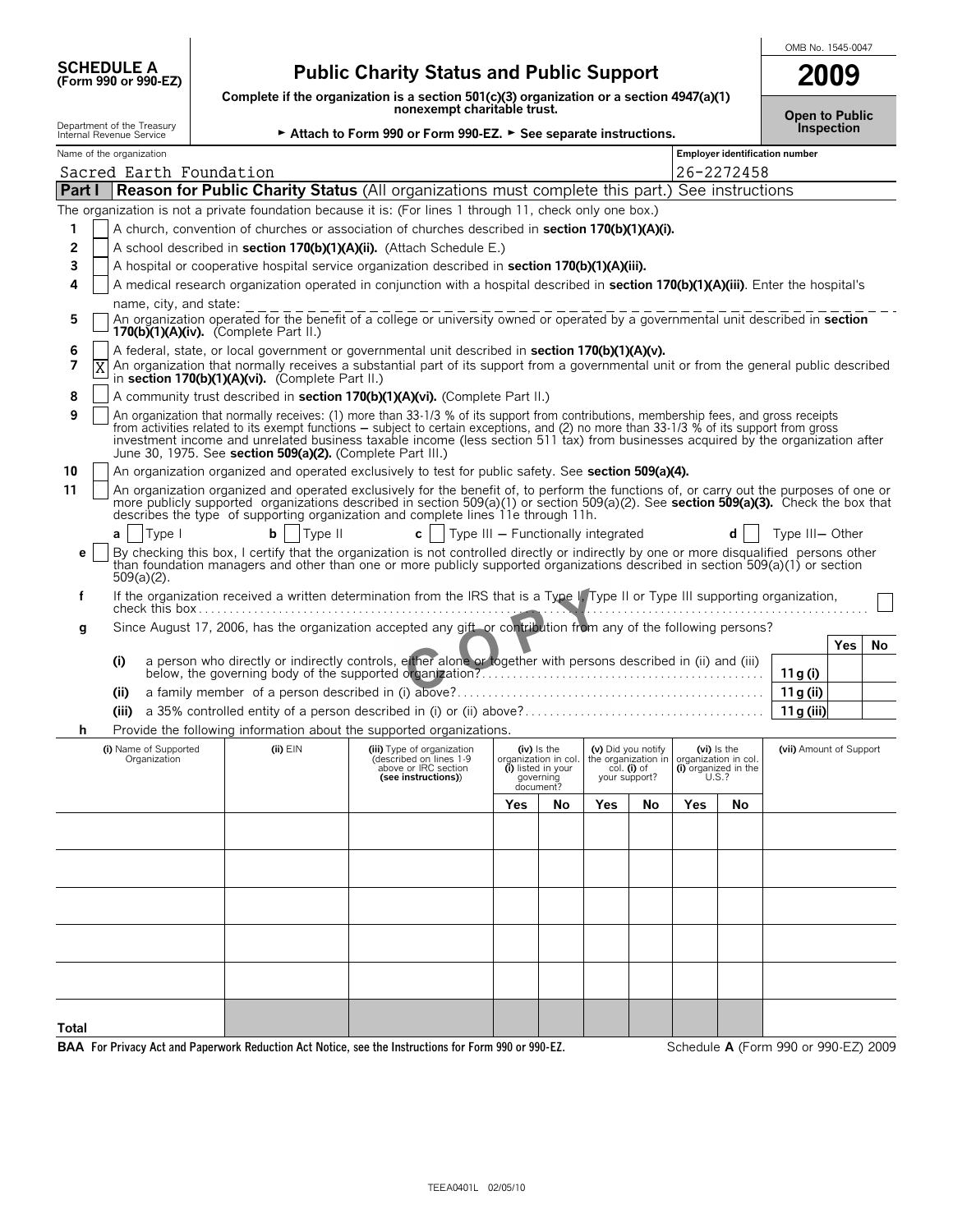| <b>SCHEDULE A</b> |                     |
|-------------------|---------------------|
|                   | (Form 990 or 990-E2 |

# **(Form 990 or 990-EZ) Public Charity Status and Public Support**

**Complete if the organization is a section 501(c)(3) organization or a section 4947(a)(1) nonexempt charitable trust.**

| OMB No. 1545-0047 |  |
|-------------------|--|
| 2009              |  |

| Open to Public    |  |
|-------------------|--|
| <b>Inspection</b> |  |

| nonexempt charitable trust.<br>Department of the Treasury<br>Attach to Form 990 or Form 990-EZ. > See separate instructions.<br>Internal Revenue Service                                                      |       |                                       |  |                                                            |                                                                                                                                                                                                                                                                                                                                                                                                                        |     | <b>Open to Public</b>                                                               | Inspection                                         |    |                                                                                          |            |                                      |            |           |
|---------------------------------------------------------------------------------------------------------------------------------------------------------------------------------------------------------------|-------|---------------------------------------|--|------------------------------------------------------------|------------------------------------------------------------------------------------------------------------------------------------------------------------------------------------------------------------------------------------------------------------------------------------------------------------------------------------------------------------------------------------------------------------------------|-----|-------------------------------------------------------------------------------------|----------------------------------------------------|----|------------------------------------------------------------------------------------------|------------|--------------------------------------|------------|-----------|
| Name of the organization                                                                                                                                                                                      |       |                                       |  |                                                            |                                                                                                                                                                                                                                                                                                                                                                                                                        |     | <b>Employer identification number</b>                                               |                                                    |    |                                                                                          |            |                                      |            |           |
|                                                                                                                                                                                                               |       | Sacred Earth Foundation               |  |                                                            |                                                                                                                                                                                                                                                                                                                                                                                                                        |     |                                                                                     |                                                    |    |                                                                                          | 26-2272458 |                                      |            |           |
| Part I                                                                                                                                                                                                        |       |                                       |  |                                                            | <b>Reason for Public Charity Status (All organizations must complete this part.) See instructions</b>                                                                                                                                                                                                                                                                                                                  |     |                                                                                     |                                                    |    |                                                                                          |            |                                      |            |           |
|                                                                                                                                                                                                               |       |                                       |  |                                                            | The organization is not a private foundation because it is: (For lines 1 through 11, check only one box.)                                                                                                                                                                                                                                                                                                              |     |                                                                                     |                                                    |    |                                                                                          |            |                                      |            |           |
| 1                                                                                                                                                                                                             |       |                                       |  |                                                            | A church, convention of churches or association of churches described in section 170(b)(1)(A)(i).                                                                                                                                                                                                                                                                                                                      |     |                                                                                     |                                                    |    |                                                                                          |            |                                      |            |           |
| 2<br>A school described in section 170(b)(1)(A)(ii). (Attach Schedule E.)                                                                                                                                     |       |                                       |  |                                                            |                                                                                                                                                                                                                                                                                                                                                                                                                        |     |                                                                                     |                                                    |    |                                                                                          |            |                                      |            |           |
| 3<br>A hospital or cooperative hospital service organization described in section 170(b)(1)(A)(iii).                                                                                                          |       |                                       |  |                                                            |                                                                                                                                                                                                                                                                                                                                                                                                                        |     |                                                                                     |                                                    |    |                                                                                          |            |                                      |            |           |
| A medical research organization operated in conjunction with a hospital described in section 170(b)(1)(A)(iii). Enter the hospital's<br>4                                                                     |       |                                       |  |                                                            |                                                                                                                                                                                                                                                                                                                                                                                                                        |     |                                                                                     |                                                    |    |                                                                                          |            |                                      |            |           |
| name, city, and state:<br>An organization operated for the benefit of a college or university owned or operated by a governmental unit described in section<br>5<br>170(b) $(1)(A)(iv)$ . (Complete Part II.) |       |                                       |  |                                                            |                                                                                                                                                                                                                                                                                                                                                                                                                        |     |                                                                                     |                                                    |    |                                                                                          |            |                                      |            |           |
| 6<br>7                                                                                                                                                                                                        | Χ     |                                       |  |                                                            | A federal, state, or local government or governmental unit described in section 170(b)(1)(A)(v).<br>An organization that normally receives a substantial part of its support from a governmental unit or from the general public described                                                                                                                                                                             |     |                                                                                     |                                                    |    |                                                                                          |            |                                      |            |           |
|                                                                                                                                                                                                               |       |                                       |  | in section 170(b)(1)(A)(vi). (Complete Part II.)           |                                                                                                                                                                                                                                                                                                                                                                                                                        |     |                                                                                     |                                                    |    |                                                                                          |            |                                      |            |           |
| 8                                                                                                                                                                                                             |       |                                       |  |                                                            | A community trust described in section 170(b)(1)(A)(vi). (Complete Part II.)                                                                                                                                                                                                                                                                                                                                           |     |                                                                                     |                                                    |    |                                                                                          |            |                                      |            |           |
| 9                                                                                                                                                                                                             |       |                                       |  | June 30, 1975. See section 509(a)(2). (Complete Part III.) | An organization that normally receives: (1) more than 33-1/3 % of its support from contributions, membership fees, and gross receipts<br>from activities related to its exempt functions – subject to certain exceptions, and (2) no more than 33-1/3 % of its support from gross<br>investment income and unrelated business taxable income (less section 511 tax) from businesses acquired by the organization after |     |                                                                                     |                                                    |    |                                                                                          |            |                                      |            |           |
| 10                                                                                                                                                                                                            |       |                                       |  |                                                            | An organization organized and operated exclusively to test for public safety. See section 509(a)(4).                                                                                                                                                                                                                                                                                                                   |     |                                                                                     |                                                    |    |                                                                                          |            |                                      |            |           |
| 11                                                                                                                                                                                                            |       |                                       |  |                                                            | An organization organized and operated exclusively for the benefit of, to perform the functions of, or carry out the purposes of one or<br>more publicly supported organizations described in section 509(a)(1) or section 509(a)(2). See section 509(a)(3). Check the box that<br>describes the type of supporting organization and complete lines 11e through 11h.                                                   |     |                                                                                     |                                                    |    |                                                                                          |            |                                      |            |           |
|                                                                                                                                                                                                               | a l   | Type I                                |  | Type II<br>bl                                              | $c$   Type III – Functionally integrated                                                                                                                                                                                                                                                                                                                                                                               |     |                                                                                     |                                                    |    |                                                                                          |            | Type III-Other                       |            |           |
| е                                                                                                                                                                                                             |       | $509(a)(2)$ .                         |  |                                                            | By checking this box, I certify that the organization is not controlled directly or indirectly by one or more disqualified persons other<br>than foundation managers and other than one or more publicly supported organizations described in section 509(a)(1) or section                                                                                                                                             |     |                                                                                     |                                                    |    |                                                                                          |            |                                      |            |           |
| f                                                                                                                                                                                                             |       |                                       |  |                                                            | If the organization received a written determination from the IRS that is a Type I, Type II or Type III supporting organization,                                                                                                                                                                                                                                                                                       |     |                                                                                     |                                                    |    |                                                                                          |            |                                      |            |           |
| g                                                                                                                                                                                                             |       |                                       |  |                                                            | Since August 17, 2006, has the organization accepted any gift or contribution from any of the following persons?                                                                                                                                                                                                                                                                                                       |     |                                                                                     |                                                    |    |                                                                                          |            |                                      |            |           |
|                                                                                                                                                                                                               |       |                                       |  |                                                            |                                                                                                                                                                                                                                                                                                                                                                                                                        |     |                                                                                     |                                                    |    |                                                                                          |            |                                      | <b>Yes</b> | <b>No</b> |
|                                                                                                                                                                                                               | (i)   |                                       |  |                                                            | a person who directly or indirectly controls, either alone or together with persons described in (ii) and (iii)                                                                                                                                                                                                                                                                                                        |     |                                                                                     |                                                    |    |                                                                                          |            | 11 g (i)                             |            |           |
|                                                                                                                                                                                                               | (ii)  |                                       |  |                                                            |                                                                                                                                                                                                                                                                                                                                                                                                                        |     |                                                                                     |                                                    |    |                                                                                          |            | 11 g (ii)                            |            |           |
|                                                                                                                                                                                                               | (iii) |                                       |  |                                                            |                                                                                                                                                                                                                                                                                                                                                                                                                        |     |                                                                                     |                                                    |    |                                                                                          |            | 11 g (iii)                           |            |           |
| h.                                                                                                                                                                                                            |       |                                       |  |                                                            | Provide the following information about the supported organizations.                                                                                                                                                                                                                                                                                                                                                   |     |                                                                                     |                                                    |    |                                                                                          |            |                                      |            |           |
|                                                                                                                                                                                                               |       | (i) Name of Supported<br>Organization |  | $(ii)$ $EIN$                                               | (iii) Type of organization<br>(described on lines 1-9<br>above or IRC section<br>(see instructions))                                                                                                                                                                                                                                                                                                                   |     | (iv) is the<br>organization in col.<br>(i) listed in your<br>qoverning<br>document? | (v) Did you notify<br>col. (i) of<br>your support? |    | (vi) Is the<br>the organization in organization in col.<br>(i) organized in the<br>U.S.? |            | (vii) Amount of Support              |            |           |
|                                                                                                                                                                                                               |       |                                       |  |                                                            |                                                                                                                                                                                                                                                                                                                                                                                                                        | Yes | No                                                                                  | <b>Yes</b>                                         | No | Yes                                                                                      | Νo         |                                      |            |           |
|                                                                                                                                                                                                               |       |                                       |  |                                                            |                                                                                                                                                                                                                                                                                                                                                                                                                        |     |                                                                                     |                                                    |    |                                                                                          |            |                                      |            |           |
|                                                                                                                                                                                                               |       |                                       |  |                                                            |                                                                                                                                                                                                                                                                                                                                                                                                                        |     |                                                                                     |                                                    |    |                                                                                          |            |                                      |            |           |
|                                                                                                                                                                                                               |       |                                       |  |                                                            |                                                                                                                                                                                                                                                                                                                                                                                                                        |     |                                                                                     |                                                    |    |                                                                                          |            |                                      |            |           |
|                                                                                                                                                                                                               |       |                                       |  |                                                            |                                                                                                                                                                                                                                                                                                                                                                                                                        |     |                                                                                     |                                                    |    |                                                                                          |            |                                      |            |           |
|                                                                                                                                                                                                               |       |                                       |  |                                                            |                                                                                                                                                                                                                                                                                                                                                                                                                        |     |                                                                                     |                                                    |    |                                                                                          |            |                                      |            |           |
|                                                                                                                                                                                                               |       |                                       |  |                                                            |                                                                                                                                                                                                                                                                                                                                                                                                                        |     |                                                                                     |                                                    |    |                                                                                          |            |                                      |            |           |
|                                                                                                                                                                                                               |       |                                       |  |                                                            |                                                                                                                                                                                                                                                                                                                                                                                                                        |     |                                                                                     |                                                    |    |                                                                                          |            |                                      |            |           |
|                                                                                                                                                                                                               |       |                                       |  |                                                            |                                                                                                                                                                                                                                                                                                                                                                                                                        |     |                                                                                     |                                                    |    |                                                                                          |            |                                      |            |           |
|                                                                                                                                                                                                               |       |                                       |  |                                                            |                                                                                                                                                                                                                                                                                                                                                                                                                        |     |                                                                                     |                                                    |    |                                                                                          |            |                                      |            |           |
|                                                                                                                                                                                                               |       |                                       |  |                                                            |                                                                                                                                                                                                                                                                                                                                                                                                                        |     |                                                                                     |                                                    |    |                                                                                          |            |                                      |            |           |
| Total                                                                                                                                                                                                         |       |                                       |  |                                                            | BAA For Privacy Act and Paperwork Reduction Act Notice, see the Instructions for Form 990 or 990-EZ.                                                                                                                                                                                                                                                                                                                   |     |                                                                                     |                                                    |    |                                                                                          |            | Schedule A (Form 990 or 990-EZ) 2009 |            |           |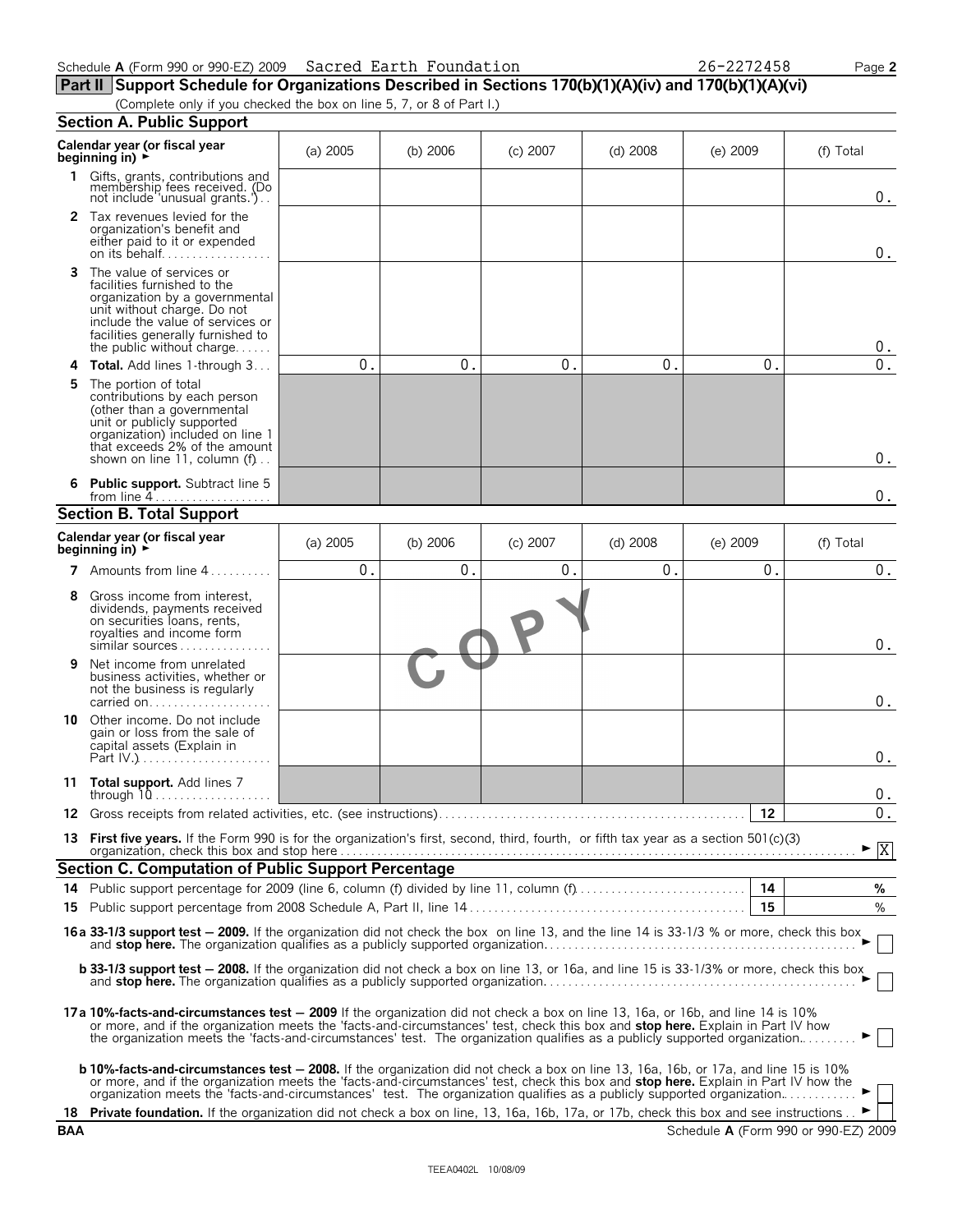$\boldsymbol{0}$  .

 $\boldsymbol{0}$  .

 $0.$ 0.

|    | Schedule A (Form 990 or 990-EZ) 2009 Sacred Earth Foundation                                                                                                                                                                   |                  |          |                |            | 26-2272458 | Page 2     |
|----|--------------------------------------------------------------------------------------------------------------------------------------------------------------------------------------------------------------------------------|------------------|----------|----------------|------------|------------|------------|
|    | Part II Support Schedule for Organizations Described in Sections 170(b)(1)(A)(iv) and 170(b)(1)(A)(vi)                                                                                                                         |                  |          |                |            |            |            |
|    | (Complete only if you checked the box on line 5, 7, or 8 of Part I.)<br><b>Section A. Public Support</b>                                                                                                                       |                  |          |                |            |            |            |
|    | Calendar year (or fiscal year<br>beginning in) $\rightarrow$                                                                                                                                                                   | $(a)$ 2005       | (b) 2006 | $(c)$ 2007     | $(d)$ 2008 | $(e)$ 2009 | (f) Total  |
|    | 1 Gifts, grants, contributions and<br>membership fees received. (Do<br>not include 'unusual grants.')                                                                                                                          |                  |          |                |            |            | $0$ .      |
|    | 2 Tax revenues levied for the<br>organization's benefit and<br>either paid to it or expended                                                                                                                                   |                  |          |                |            |            | $0$ .      |
| 3  | The value of services or<br>facilities furnished to the<br>organization by a governmental<br>unit without charge. Do not<br>include the value of services or<br>facilities generally furnished to<br>the public without charge |                  |          |                |            |            | $0$ .      |
| 4  | <b>Total.</b> Add lines 1-through 3                                                                                                                                                                                            | $0$ .            | 0.       | $0$ .          | $0$ .      | $0$ .      | 0.         |
| 5. | The portion of total<br>contributions by each person<br>(other than a governmental<br>unit or publicly supported<br>organization) included on line 1<br>that exceeds 2% of the amount<br>shown on line 11, column $(f)$        |                  |          |                |            |            | $0$ .      |
|    | 6 Public support. Subtract line 5                                                                                                                                                                                              |                  |          |                |            |            | $0$ .      |
|    | <b>Section B. Total Support</b>                                                                                                                                                                                                |                  |          |                |            |            |            |
|    | Calendar year (or fiscal year<br>beginning in) $\blacktriangleright$                                                                                                                                                           | $(a)$ 2005       | (b) 2006 | $(c)$ 2007     | $(d)$ 2008 | $(e)$ 2009 | (f) Total  |
|    | Amounts from line 4                                                                                                                                                                                                            | $\overline{0}$ . | $0$ .    | $\mathbf{0}$ . | $0$ .      | $\theta$ . | $0$ .      |
| 8  | Gross income from interest,<br>dividends, payments received<br>on securities loans, rents,<br>royalties and income form<br>similar sources                                                                                     |                  |          |                |            |            | $\Omega$ . |

| 9 | Net income from unrelated<br>business activities, whether or<br>not the business is regularly<br>carried on |  |
|---|-------------------------------------------------------------------------------------------------------------|--|
|   | Other income. Do not include                                                                                |  |

| 10 | Other income. Do not include<br>gain or loss from the sale of<br>capital assets (Explain in<br>Part $IV.$ ).<br>. |  |  |  |
|----|-------------------------------------------------------------------------------------------------------------------|--|--|--|
| 11 | <b>Total support.</b> Add lines 7<br>through 1<br>.                                                               |  |  |  |

| 13 First five years. If the Form 990 is for the organization's first, second, third, fourth, or fifth tax year as a section 501(c)(3) | $\blacktriangleright$ $\overline{X}$ |  |
|---------------------------------------------------------------------------------------------------------------------------------------|--------------------------------------|--|

| <b>Section C. Computation of Public Support Percentage</b> |      |  |  |  |  |  |
|------------------------------------------------------------|------|--|--|--|--|--|
|                                                            | - 14 |  |  |  |  |  |
|                                                            | 15   |  |  |  |  |  |
|                                                            |      |  |  |  |  |  |

16a 33-1/3 support test – 2009. If the organization did not check the box on line 13, and the line 14 is 33-1/3 % or more, check this box and **stop here.** The organization qualifies as a publicly supported organization. . . . . . . . . . . . . . . . . . . . . . . . . . . . . . . . . . . . . . . . . . . . . . . . . . . G

**b** 33-1/3 support test – 2008. If the organization did not check a box on line 13, or 16a, and line 15 is 33-1/3% or more, check this box and **stop here.** The organization qualifies as a publicly supported organization. . . . . . . . . . . . . . . . . . . . . . . . . . . . . . . . . . . . . . . . . . . . . . . . . . . G

- **17a 10%-facts-and-circumstances test** ' **2009** If the organization did not check a box on line 13, 16a, or 16b, and line 14 is 10% or more, and if the organization meets the 'facts-and-circumstances' test, check this box and **stop here.** Explain in Part IV how<br>the organization meets the 'facts-and-circumstances' test. The organization qualifies as a
	- **b** 10%-facts-and-circumstances test 2008. If the organization did not check a box on line 13, 16a, 16b, or 17a, and line 15 is 10% or more, and if the organization meets the 'facts-and-circumstances' test, check this box and **stop here.** Explain in Part IV how the<br>organization meets the 'facts-and-circumstances' test. The organization qualifies as a
- **18 Private foundation.** If the organization did not check a box on line, 13, 16a, 16b, 17a, or 17b, check this box and see instructions. . ► **BAA** Schedule **A** (Form 990 or 990-EZ) 2009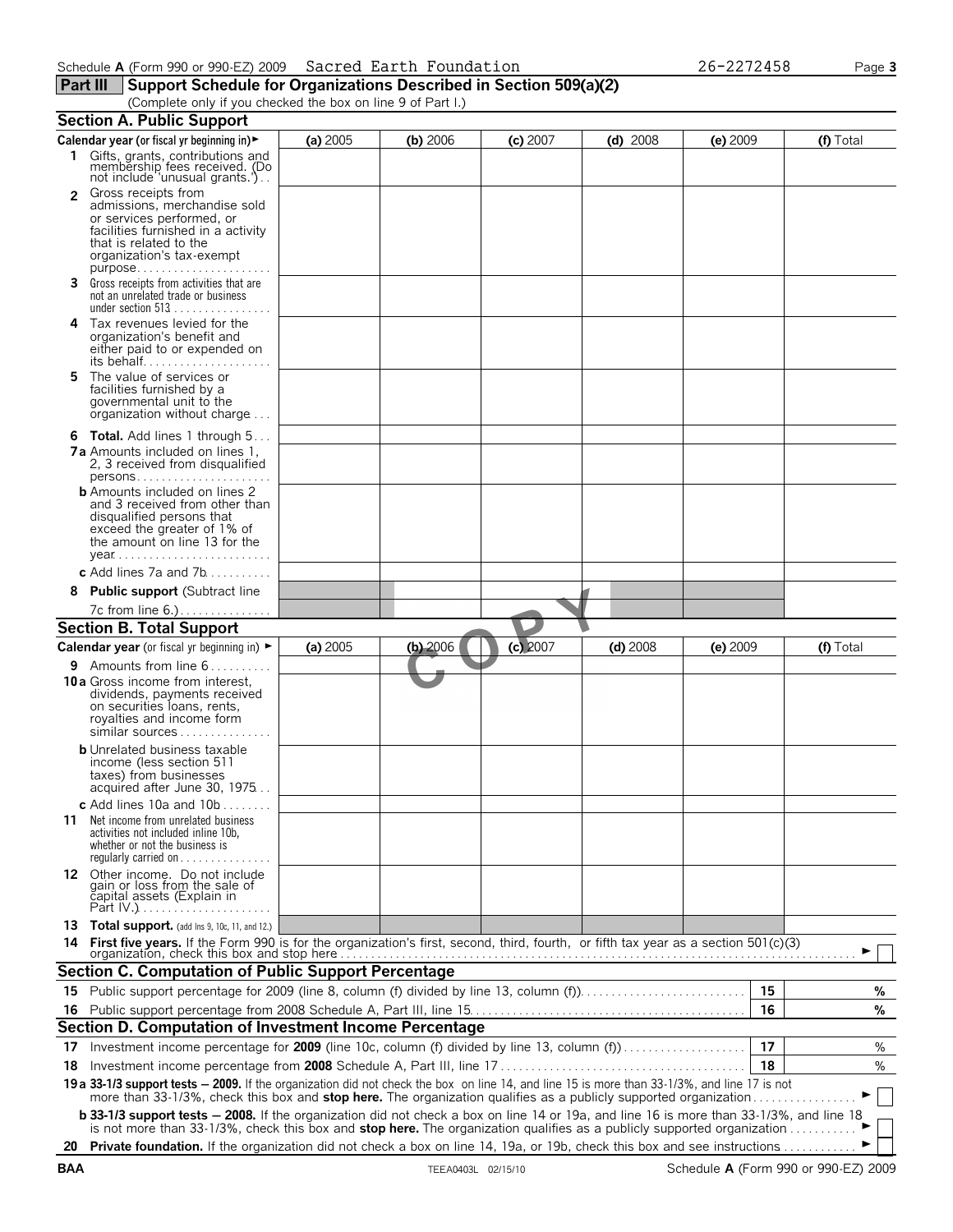### **Part III** Support Schedule for Organizations Described in Section 509(a)(2)

(Complete only if you checked the box on line 9 of Part I.)

|                | <b>Section A. Public Support</b>                                                                                                                                                                                                                                                          |          |            |            |            |            |    |             |
|----------------|-------------------------------------------------------------------------------------------------------------------------------------------------------------------------------------------------------------------------------------------------------------------------------------------|----------|------------|------------|------------|------------|----|-------------|
|                | Calendar year (or fiscal yr beginning in)                                                                                                                                                                                                                                                 | (a) 2005 | (b) 2006   | $(c)$ 2007 | $(d)$ 2008 | $(e)$ 2009 |    | $(f)$ Total |
|                | 1 Gifts, grants, contributions and<br>membership fees received. (Do<br>not include 'unusual grants.').                                                                                                                                                                                    |          |            |            |            |            |    |             |
| $\overline{2}$ | Gross receipts from<br>admissions, merchandise sold<br>or services performed, or<br>facilities furnished in a activity<br>that is related to the<br>organization's tax-exempt<br>$purpose$                                                                                                |          |            |            |            |            |    |             |
|                | 3 Gross receipts from activities that are<br>not an unrelated trade or business<br>under section $513$                                                                                                                                                                                    |          |            |            |            |            |    |             |
| 4              | Tax revenues levied for the<br>organization's benefit and<br>either paid to or expended on<br>its behalf                                                                                                                                                                                  |          |            |            |            |            |    |             |
| 5              | The value of services or<br>facilities furnished by a<br>governmental unit to the<br>organization without charge                                                                                                                                                                          |          |            |            |            |            |    |             |
|                | <b>6 Total.</b> Add lines 1 through 5                                                                                                                                                                                                                                                     |          |            |            |            |            |    |             |
|                | <b>7a</b> Amounts included on lines 1,<br>2, 3 received from disqualified                                                                                                                                                                                                                 |          |            |            |            |            |    |             |
|                | <b>b</b> Amounts included on lines 2<br>and 3 received from other than<br>disqualified persons that<br>exceed the greater of 1% of<br>the amount on line 13 for the<br>$year \dots \dots \dots \dots \dots \dots \dots \dots \dots \dots$                                                 |          |            |            |            |            |    |             |
|                | c Add lines $7a$ and $7b$                                                                                                                                                                                                                                                                 |          |            |            |            |            |    |             |
| 8              | <b>Public support (Subtract line</b>                                                                                                                                                                                                                                                      |          |            |            |            |            |    |             |
|                | 7c from line 6.)                                                                                                                                                                                                                                                                          |          |            |            |            |            |    |             |
|                | <b>Section B. Total Support</b>                                                                                                                                                                                                                                                           |          |            |            |            |            |    |             |
|                |                                                                                                                                                                                                                                                                                           |          |            |            |            |            |    |             |
|                | <b>Calendar year</b> (or fiscal yr beginning in) $\blacktriangleright$                                                                                                                                                                                                                    | (a) 2005 | $(b)$ 2006 | $(c)$ 2007 | $(d)$ 2008 | $(e)$ 2009 |    | (f) Total   |
|                | <b>9</b> Amounts from line $6, \ldots, \ldots$<br><b>10a</b> Gross income from interest,<br>dividends, payments received<br>on securities loans, rents,<br>royalties and income form<br>similar sources                                                                                   |          |            |            |            |            |    |             |
|                | <b>b</b> Unrelated business taxable<br>income (less section 511<br>taxes) from businesses<br>acquired after June 30, 1975                                                                                                                                                                 |          |            |            |            |            |    |             |
| 11             | c Add lines $10a$ and $10b$<br>Net income from unrelated business<br>activities not included inline 10b,<br>whether or not the business is<br>regularly carried on                                                                                                                        |          |            |            |            |            |    |             |
|                | 12 Other income. Do not include<br>gain or loss from the sale of<br>capital assets (Explain in                                                                                                                                                                                            |          |            |            |            |            |    |             |
| 14             | 13 Total support. (add Ins 9, 10c, 11, and 12.)<br>First five years. If the Form 990 is for the organization's first, second, third, fourth, or fifth tax year as a section 501(c)(3)                                                                                                     |          |            |            |            |            |    |             |
|                | Section C. Computation of Public Support Percentage                                                                                                                                                                                                                                       |          |            |            |            |            |    |             |
|                |                                                                                                                                                                                                                                                                                           |          |            |            |            |            |    |             |
|                |                                                                                                                                                                                                                                                                                           |          |            |            |            |            | 15 | %           |
| 16.            |                                                                                                                                                                                                                                                                                           |          |            |            |            |            | 16 | %           |
|                | Section D. Computation of Investment Income Percentage                                                                                                                                                                                                                                    |          |            |            |            |            |    |             |
|                | 17 Investment income percentage for 2009 (line 10c, column (f) divided by line 13, column (f)                                                                                                                                                                                             |          |            |            |            |            | 17 | %           |
| 18             |                                                                                                                                                                                                                                                                                           |          |            |            |            |            |    |             |
|                | 19 a 33-1/3 support tests - 2009. If the organization did not check the box on line 14, and line 15 is more than 33-1/3%, and line 17 is not more than 33-1/3%, check this box and stop here. The organization qualifies as a                                                             |          |            |            |            |            |    |             |
|                | <b>b 33-1/3 support tests - 2008.</b> If the organization did not check a box on line 14 or 19a, and line 16 is more than 33-1/3%, and line 18<br>is not more than 33-1/3%, check this box and <b>stop here.</b> The organization qualifies as a publicly supported organization $\ldots$ |          |            |            |            |            |    |             |
|                | 20 Private foundation. If the organization did not check a box on line 14, 19a, or 19b, check this box and see instructions                                                                                                                                                               |          |            |            |            |            |    |             |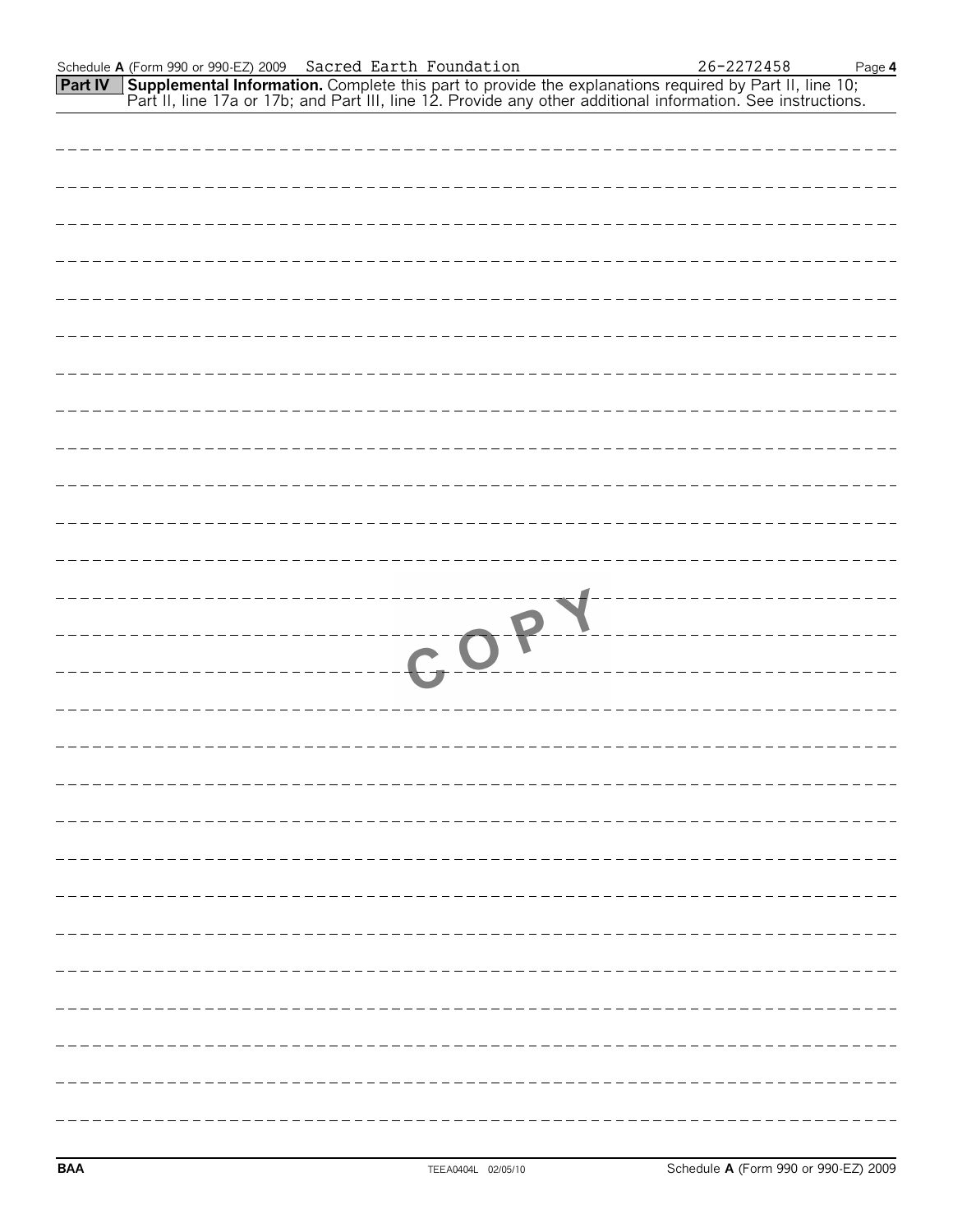|                | Schedule A (Form 990 or 990-EZ) 2009 Sacred Earth Foundation |  |      |                                                                                                                                                                                                                                     | 26-2272458 | Page 4 |
|----------------|--------------------------------------------------------------|--|------|-------------------------------------------------------------------------------------------------------------------------------------------------------------------------------------------------------------------------------------|------------|--------|
| <b>Part IV</b> |                                                              |  |      | <b>Supplemental Information.</b> Complete this part to provide the explanations required by Part II, line 10; Part II, line 10; Part II, line 17a or 17b; and Part III, line 12. Provide any other additional information. See inst |            |        |
|                |                                                              |  |      |                                                                                                                                                                                                                                     |            |        |
|                |                                                              |  |      |                                                                                                                                                                                                                                     |            |        |
|                |                                                              |  |      |                                                                                                                                                                                                                                     |            |        |
|                |                                                              |  |      |                                                                                                                                                                                                                                     |            |        |
|                |                                                              |  |      |                                                                                                                                                                                                                                     |            |        |
|                |                                                              |  |      |                                                                                                                                                                                                                                     |            |        |
|                |                                                              |  |      |                                                                                                                                                                                                                                     |            |        |
|                |                                                              |  |      |                                                                                                                                                                                                                                     |            |        |
|                |                                                              |  |      |                                                                                                                                                                                                                                     |            |        |
|                |                                                              |  |      |                                                                                                                                                                                                                                     |            |        |
|                |                                                              |  |      |                                                                                                                                                                                                                                     |            |        |
|                |                                                              |  |      |                                                                                                                                                                                                                                     |            |        |
|                |                                                              |  |      |                                                                                                                                                                                                                                     |            |        |
|                |                                                              |  |      |                                                                                                                                                                                                                                     |            |        |
|                |                                                              |  |      |                                                                                                                                                                                                                                     |            |        |
|                |                                                              |  |      |                                                                                                                                                                                                                                     |            |        |
|                |                                                              |  | COPY |                                                                                                                                                                                                                                     |            |        |
|                |                                                              |  |      |                                                                                                                                                                                                                                     |            |        |
|                |                                                              |  |      |                                                                                                                                                                                                                                     |            |        |
|                |                                                              |  |      |                                                                                                                                                                                                                                     |            |        |
|                |                                                              |  |      |                                                                                                                                                                                                                                     |            |        |
|                |                                                              |  |      |                                                                                                                                                                                                                                     |            |        |
|                |                                                              |  |      |                                                                                                                                                                                                                                     |            |        |
|                |                                                              |  |      |                                                                                                                                                                                                                                     |            |        |
|                |                                                              |  |      |                                                                                                                                                                                                                                     |            |        |
|                |                                                              |  |      |                                                                                                                                                                                                                                     |            |        |
|                |                                                              |  |      |                                                                                                                                                                                                                                     |            |        |
|                |                                                              |  |      |                                                                                                                                                                                                                                     |            |        |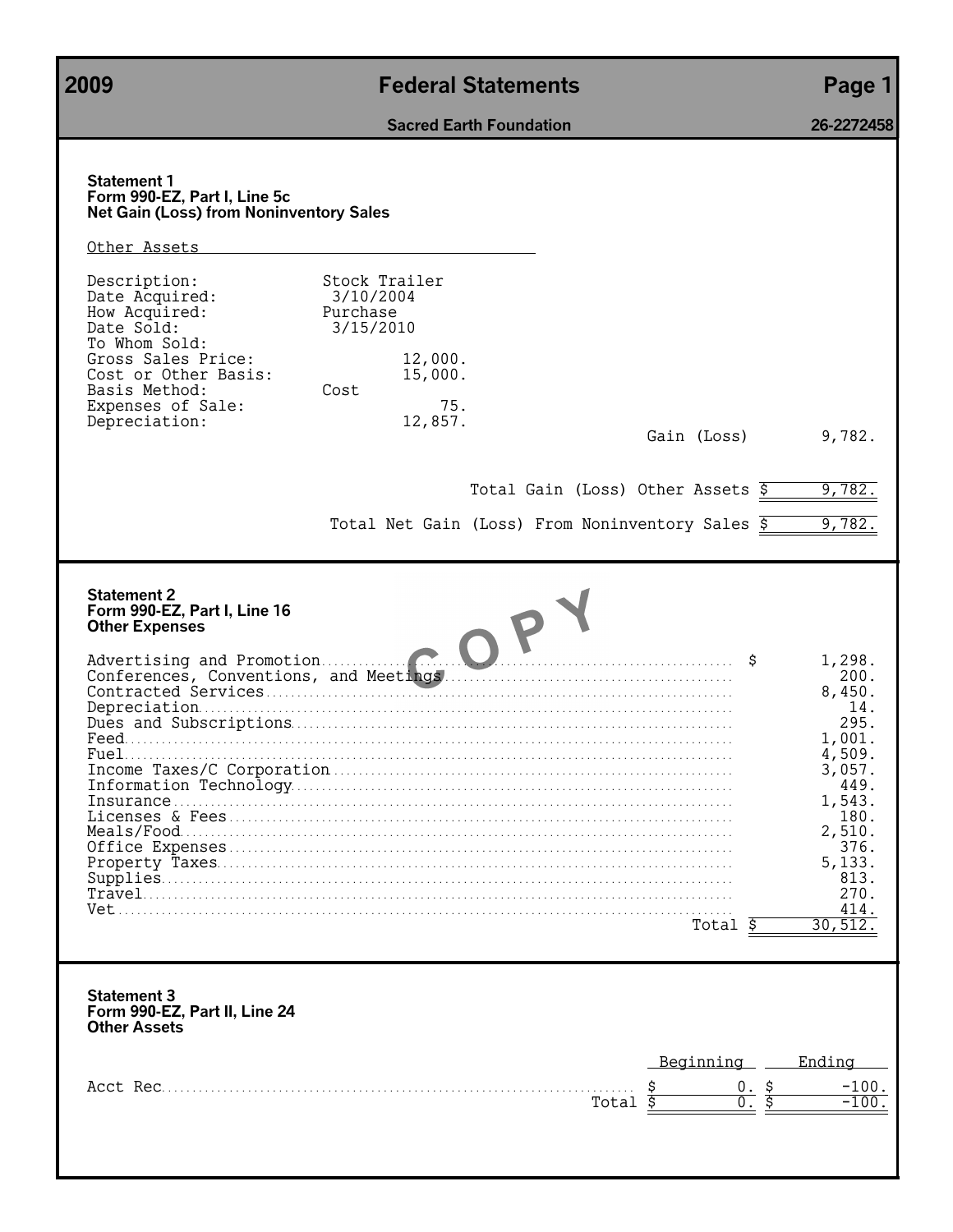**2009 Federal Statements Page 1 Sacred Earth Foundation 26-2272458 Statement 1 Form 990-EZ, Part I, Line 5c Net Gain (Loss) from Noninventory Sales** Other Assets Description: Stock Trailer<br>Date Acquired: 3/10/2004 Date Acquired: 3/10/20<br>How Acquired: 2011 Purchase How Acquired:<br>Date Sold: Date Sold: 3/15/2010 To Whom Sold: Gross Sales Price: 12,000.<br>Cost or Other Basis: 15,000. Cost or Other Basis: 15,000. Basis Method: Expenses of Sale: 75.<br>Depreciation: 12,857. Depreciation: Gain (Loss) 9,782. Total Gain (Loss) Other Assets  $\frac{2}{5}$  9,782. Total Net Gain (Loss) From Noninventory Sales  $\overline{5}$  9,782. **Statement 2 Form 990-EZ, Part I, Line 16 Other Expenses** Advertising and Promotion. . . . . . . . . . . . . . . . . . . . . . . . . . . . . . . . . . . . . . . . . . . . . . . . . . . . . . . . . . . . . . . . . . . \$ 1,298. Conferences, Conventions, and Meetings. . . . . . . . . . . . . . . . . . . . . . . . . . . . . . . . . . . . . . . . . . . . . . . . 200. Contracted Services. . . . . . . . . . . . . . . . . . . . . . . . . . . . . . . . . . . . . . . . . . . . . . . . . . . . . . . . . . . . . . . . . . . . . . . . . . . . 8,450. Depreciation. . . . . . . . . . . . . . . . . . . . . . . . . . . . . . . . . . . . . . . . . . . . . . . . . . . . . . . . . . . . . . . . . . . . . . . . . . . . . . . . . . . . . . . 14. Dues and Subscriptions. . . . . . . . . . . . . . . . . . . . . . . . . . . . . . . . . . . . . . . . . . . . . . . . . . . . . . . . . . . . . . . . . . . . . . . . 295. Feed. . . . . . . . . . . . . . . . . . . . . . . . . . . . . . . . . . . . . . . . . . . . . . . . . . . . . . . . . . . . . . . . . . . . . . . . . . . . . . . . . . . . . . . . . . . . . . . . . . . 1,001. Fuel. . . . . . . . . . . . . . . . . . . . . . . . . . . . . . . . . . . . . . . . . . . . . . . . . . . . . . . . . . . . . . . . . . . . . . . . . . . . . . . . . . . . . . . . . . . . . . . . . . . 4,509. Income Taxes/C Corporation. . . . . . . . . . . . . . . . . . . . . . . . . . . . . . . . . . . . . . . . . . . . . . . . . . . . . . . . . . . . . . . . . . 3,057. Information Technology. . . . . . . . . . . . . . . . . . . . . . . . . . . . . . . . . . . . . . . . . . . . . . . . . . . . . . . . . . . . . . . . . . . . . . . . 449. Insurance . . . . . . . . . . . . . . . . . . . . . . . . . . . . . . . . . . . . . . . . . . . . . . . . . . . . . . . . . . . . . . . . . . . . . . . . . . . . . . . . . . . . . . . . . . . 1,543. Licenses & Fees . . . . . . . . . . . . . . . . . . . . . . . . . . . . . . . . . . . . . . . . . . . . . . . . . . . . . . . . . . . . . . . . . . . . . . . . . . . . . . . . . . 180. Meals/Food. . . . . . . . . . . . . . . . . . . . . . . . . . . . . . . . . . . . . . . . . . . . . . . . . . . . . . . . . . . . . . . . . . . . . . . . . . . . . . . . . . . . . . . . . . 2,510. Office Expenses . . . . . . . . . . . . . . . . . . . . . . . . . . . . . . . . . . . . . . . . . . . . . . . . . . . . . . . . . . . . . . . . . . . . . . . . . . . . . . . . . . 376. Property Taxes. . . . . . . . . . . . . . . . . . . . . . . . . . . . . . . . . . . . . . . . . . . . . . . . . . . . . . . . . . . . . . . . . . . . . . . . . . . . . . . . . . . . 5,133. Supplies. . . . . . . . . . . . . . . . . . . . . . . . . . . . . . . . . . . . . . . . . . . . . . . . . . . . . . . . . . . . . . . . . . . . . . . . . . . . . . . . . . . . . . . . . . . . . 813. Travel. . . . . . . . . . . . . . . . . . . . . . . . . . . . . . . . . . . . . . . . . . . . . . . . . . . . . . . . . . . . . . . . . . . . . . . . . . . . . . . . . . . . . . . . . . . . . . . . 270. Vet. . . . . . . . . . . . . . . . . . . . . . . . . . . . . . . . . . . . . . . . . . . . . . . . . . . . . . . . . . . . . . . . . . . . . . . . . . . . . . . . . . . . . . . . . . . . . . . . . . . . . 414. Total \$ **Statement 3 Form 990-EZ, Part II, Line 24 Other Assets** Beginning Ending Acct Rec. . . . . . . . . . . . . . . . . . . . . . . . . . . . . . . . . . . . . . . . . . . . . . . . . . . . . . . . . . . . . . . . . . . . . . . . . . . . . \$ 0. \$ -100. Total  $\overline{s}$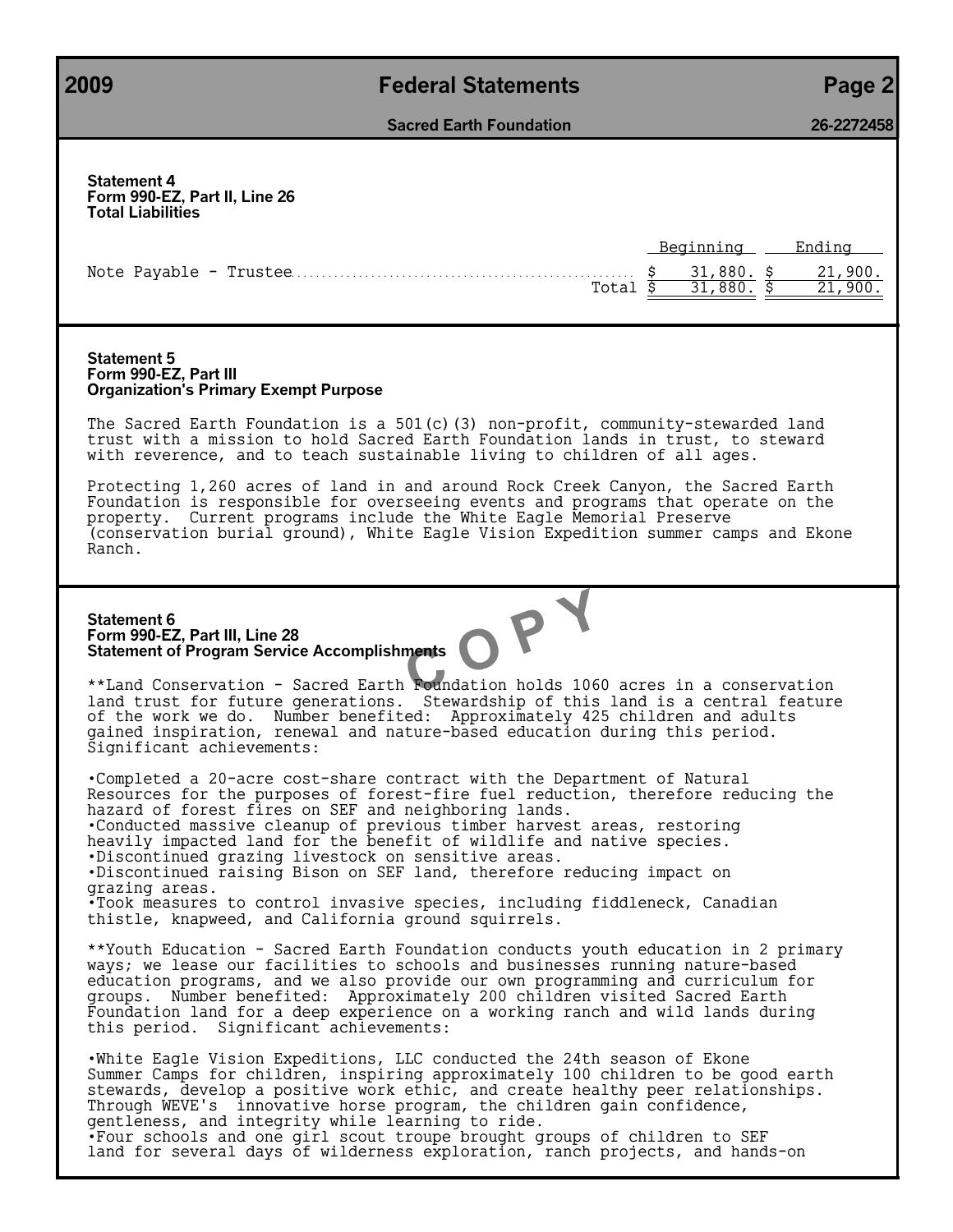# **2009 Federal Statements Page 2**

**Sacred Earth Foundation 26-2272458**

| <b>Statement 4</b><br>Form 990-EZ, Part II, Line 26<br><b>Total Liabilities</b>                                                                                                                                                                                                                                                                                                                                                                                                                                                                                                                                                                                                                                                                                                                                                                                                                                                                                                                                                                                                                                                                                                                                                                                                                                                                                                                                                                                                                                                                                                                                                                                                                                                                                                                                                                                                                    |                                                                                  |
|----------------------------------------------------------------------------------------------------------------------------------------------------------------------------------------------------------------------------------------------------------------------------------------------------------------------------------------------------------------------------------------------------------------------------------------------------------------------------------------------------------------------------------------------------------------------------------------------------------------------------------------------------------------------------------------------------------------------------------------------------------------------------------------------------------------------------------------------------------------------------------------------------------------------------------------------------------------------------------------------------------------------------------------------------------------------------------------------------------------------------------------------------------------------------------------------------------------------------------------------------------------------------------------------------------------------------------------------------------------------------------------------------------------------------------------------------------------------------------------------------------------------------------------------------------------------------------------------------------------------------------------------------------------------------------------------------------------------------------------------------------------------------------------------------------------------------------------------------------------------------------------------------|----------------------------------------------------------------------------------|
| Total $\overline{\$}$                                                                                                                                                                                                                                                                                                                                                                                                                                                                                                                                                                                                                                                                                                                                                                                                                                                                                                                                                                                                                                                                                                                                                                                                                                                                                                                                                                                                                                                                                                                                                                                                                                                                                                                                                                                                                                                                              | Beginning<br>Ending<br>31,880. \$<br>21,900.<br>$\overline{31,880.5}$<br>21,900. |
| <b>Statement 5</b><br>Form 990-EZ, Part III<br><b>Organization's Primary Exempt Purpose</b>                                                                                                                                                                                                                                                                                                                                                                                                                                                                                                                                                                                                                                                                                                                                                                                                                                                                                                                                                                                                                                                                                                                                                                                                                                                                                                                                                                                                                                                                                                                                                                                                                                                                                                                                                                                                        |                                                                                  |
| The Sacred Earth Foundation is a $501(c)$ (3) non-profit, community-stewarded land<br>trust with a mission to hold Sacred Earth Foundation lands in trust, to steward<br>with reverence, and to teach sustainable living to children of all ages.                                                                                                                                                                                                                                                                                                                                                                                                                                                                                                                                                                                                                                                                                                                                                                                                                                                                                                                                                                                                                                                                                                                                                                                                                                                                                                                                                                                                                                                                                                                                                                                                                                                  |                                                                                  |
| Protecting 1,260 acres of land in and around Rock Creek Canyon, the Sacred Earth<br>Foundation is responsible for overseeing events and programs that operate on the<br>property. Current programs include the White Eagle Memorial Preserve<br>(conservation burial ground), White Eagle Vision Expedition summer camps and Ekone<br>Ranch.                                                                                                                                                                                                                                                                                                                                                                                                                                                                                                                                                                                                                                                                                                                                                                                                                                                                                                                                                                                                                                                                                                                                                                                                                                                                                                                                                                                                                                                                                                                                                       |                                                                                  |
| <b>Statement 6</b><br>Statement of Program Service Accomplishments<br>**Land Conservation - Sacred Earth Foundation holds 1060 acres in a conservation<br>land trust for future generations. Stewardship of this land is a central feature<br>of the work we do. Number benefited: Approximately 425 children and adults<br>gained inspiration, renewal and nature-based education during this period.<br>Significant achievements:<br>.Completed a 20-acre cost-share contract with the Department of Natural<br>Resources for the purposes of forest-fire fuel reduction, therefore reducing the<br>hazard of forest fires on SEF and neighboring lands.<br>. Conducted massive cleanup of previous timber harvest areas, restoring<br>heavily impacted land for the benefit of wildlife and native species.<br>.Discontinued grazing livestock on sensitive areas.<br>.Discontinued raising Bison on SEF land, therefore reducing impact on<br>grazing areas.<br>. Took measures to control invasive species, including fiddleneck, Canadian<br>thistle, knapweed, and California ground squirrels.<br>**Youth Education - Sacred Earth Foundation conducts youth education in 2 primary<br>ways; we lease our facilities to schools and businesses running nature-based<br>education programs, and we also provide our own programming and curriculum for<br>groups. Number benefited: Approximately 200 children visited Sacred Earth<br>Foundation land for a deep experience on a working ranch and wild lands during<br>this period. Significant achievements:<br>.White Eagle Vision Expeditions, LLC conducted the 24th season of Ekone<br>Summer Camps for children, inspiring approximately 100 children to be good earth<br>stewards, develop a positive work ethic, and create healthy peer relationships.<br>Through WEVE's innovative horse program, the children gain confidence, |                                                                                  |
| gentleness, and integrity while learning to ride.<br>•Four schools and one girl scout troupe brought groups of children to SEF<br>land for several days of wilderness exploration, ranch projects, and hands-on                                                                                                                                                                                                                                                                                                                                                                                                                                                                                                                                                                                                                                                                                                                                                                                                                                                                                                                                                                                                                                                                                                                                                                                                                                                                                                                                                                                                                                                                                                                                                                                                                                                                                    |                                                                                  |